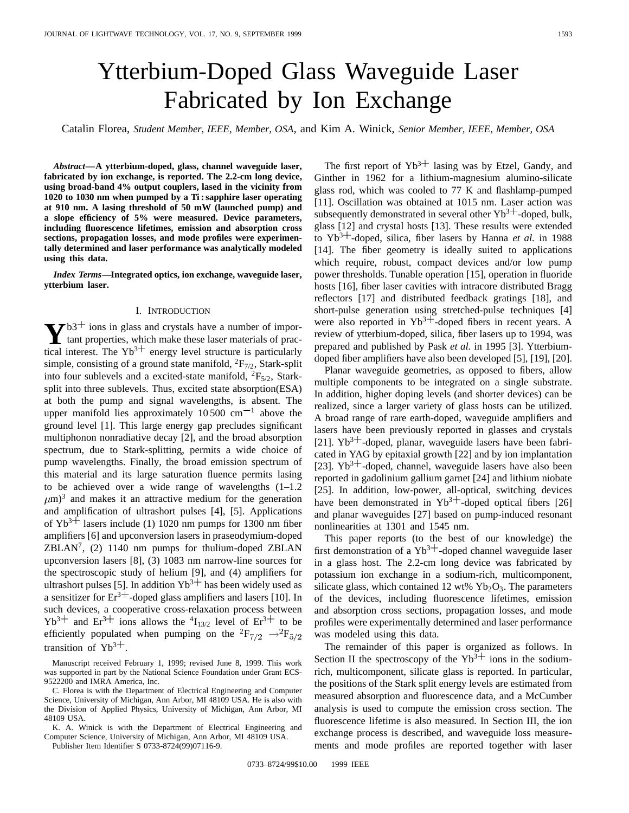# Ytterbium-Doped Glass Waveguide Laser Fabricated by Ion Exchange

Catalin Florea, *Student Member, IEEE, Member, OSA*, and Kim A. Winick, *Senior Member, IEEE, Member, OSA*

*Abstract—***A ytterbium-doped, glass, channel waveguide laser, fabricated by ion exchange, is reported. The 2.2-cm long device, using broad-band 4% output couplers, lased in the vicinity from 1020 to 1030 nm when pumped by a Ti : sapphire laser operating at 910 nm. A lasing threshold of 50 mW (launched pump) and a slope efficiency of 5% were measured. Device parameters, including fluorescence lifetimes, emission and absorption cross sections, propagation losses, and mode profiles were experimentally determined and laser performance was analytically modeled using this data.**

*Index Terms—***Integrated optics, ion exchange, waveguide laser, ytterbium laser.**

### I. INTRODUCTION

 $\bf{Y}^{b3+}$  ions in glass and crystals have a number of impor-<br>tant properties, which make these laser materials of prac-<br>tired interest. The  $X^{13+}$  are green layed etworking is negligible tical interest. The  $Yb^{3+}$  energy level structure is particularly simple, consisting of a ground state manifold,  ${}^{2}F_{7/2}$ , Stark-split into four sublevels and a excited-state manifold,  ${}^{2}F_{5/2}$ , Starksplit into three sublevels. Thus, excited state absorption(ESA) at both the pump and signal wavelengths, is absent. The upper manifold lies approximately  $10,500$  cm<sup>-1</sup> above the ground level [1]. This large energy gap precludes significant multiphonon nonradiative decay [2], and the broad absorption spectrum, due to Stark-splitting, permits a wide choice of pump wavelengths. Finally, the broad emission spectrum of this material and its large saturation fluence permits lasing to be achieved over a wide range of wavelengths (1–1.2  $\mu$ m)<sup>3</sup> and makes it an attractive medium for the generation and amplification of ultrashort pulses [4], [5]. Applications of  $Yb^{3+}$  lasers include (1) 1020 nm pumps for 1300 nm fiber amplifiers [6] and upconversion lasers in praseodymium-doped  $ZBLAN<sup>7</sup>$ , (2) 1140 nm pumps for thulium-doped ZBLAN upconversion lasers [8], (3) 1083 nm narrow-line sources for the spectroscopic study of helium [9], and (4) amplifiers for ultrashort pulses [5]. In addition  $Yb^{3+}$  has been widely used as a sensitizer for  $Er^{3+}$ -doped glass amplifiers and lasers [10]. In such devices, a cooperative cross-relaxation process between  $Yb^{3+}$  and  $Er^{3+}$  ions allows the  $^{4}I_{13/2}$  level of  $Er^{3+}$  to be efficiently populated when pumping on the  ${}^{2}F_{7/2} \rightarrow {}^{2}F_{5/2}$ transition of  $Yb^{3+}$ .

K. A. Winick is with the Department of Electrical Engineering and Computer Science, University of Michigan, Ann Arbor, MI 48109 USA.

Publisher Item Identifier S 0733-8724(99)07116-9.

The first report of  $Yb^{3+}$  lasing was by Etzel, Gandy, and Ginther in 1962 for a lithium-magnesium alumino-silicate glass rod, which was cooled to 77 K and flashlamp-pumped [11]. Oscillation was obtained at 1015 nm. Laser action was subsequently demonstrated in several other  $Yb^{3+}$ -doped, bulk, glass [12] and crystal hosts [13]. These results were extended to  $Yb^{3+}$ -doped, silica, fiber lasers by Hanna *et al.* in 1988 [14]. The fiber geometry is ideally suited to applications which require, robust, compact devices and/or low pump power thresholds. Tunable operation [15], operation in fluoride hosts [16], fiber laser cavities with intracore distributed Bragg reflectors [17] and distributed feedback gratings [18], and short-pulse generation using stretched-pulse techniques [4] were also reported in  $Yb^{3+}$ -doped fibers in recent years. A review of ytterbium-doped, silica, fiber lasers up to 1994, was prepared and published by Pask *et al.* in 1995 [3]. Ytterbiumdoped fiber amplifiers have also been developed [5], [19], [20].

Planar waveguide geometries, as opposed to fibers, allow multiple components to be integrated on a single substrate. In addition, higher doping levels (and shorter devices) can be realized, since a larger variety of glass hosts can be utilized. A broad range of rare earth-doped, waveguide amplifiers and lasers have been previously reported in glasses and crystals [21].  $Yb^{3+}$ -doped, planar, waveguide lasers have been fabricated in YAG by epitaxial growth [22] and by ion implantation [23].  $Yb^{3+}$ -doped, channel, waveguide lasers have also been reported in gadolinium gallium garnet [24] and lithium niobate [25]. In addition, low-power, all-optical, switching devices have been demonstrated in  $Yb^{3+}$ -doped optical fibers [26] and planar waveguides [27] based on pump-induced resonant nonlinearities at 1301 and 1545 nm.

This paper reports (to the best of our knowledge) the first demonstration of a  $Yb^{3+}$ -doped channel waveguide laser in a glass host. The 2.2-cm long device was fabricated by potassium ion exchange in a sodium-rich, multicomponent, silicate glass, which contained 12 wt%  $Yb_2O_3$ . The parameters of the devices, including fluorescence lifetimes, emission and absorption cross sections, propagation losses, and mode profiles were experimentally determined and laser performance was modeled using this data.

The remainder of this paper is organized as follows. In Section II the spectroscopy of the  $Yb^{3+}$  ions in the sodiumrich, multicomponent, silicate glass is reported. In particular, the positions of the Stark split energy levels are estimated from measured absorption and fluorescence data, and a McCumber analysis is used to compute the emission cross section. The fluorescence lifetime is also measured. In Section III, the ion exchange process is described, and waveguide loss measurements and mode profiles are reported together with laser

Manuscript received February 1, 1999; revised June 8, 1999. This work was supported in part by the National Science Foundation under Grant ECS-9522200 and IMRA America, Inc.

C. Florea is with the Department of Electrical Engineering and Computer Science, University of Michigan, Ann Arbor, MI 48109 USA. He is also with the Division of Applied Physics, University of Michigan, Ann Arbor, MI 48109 USA.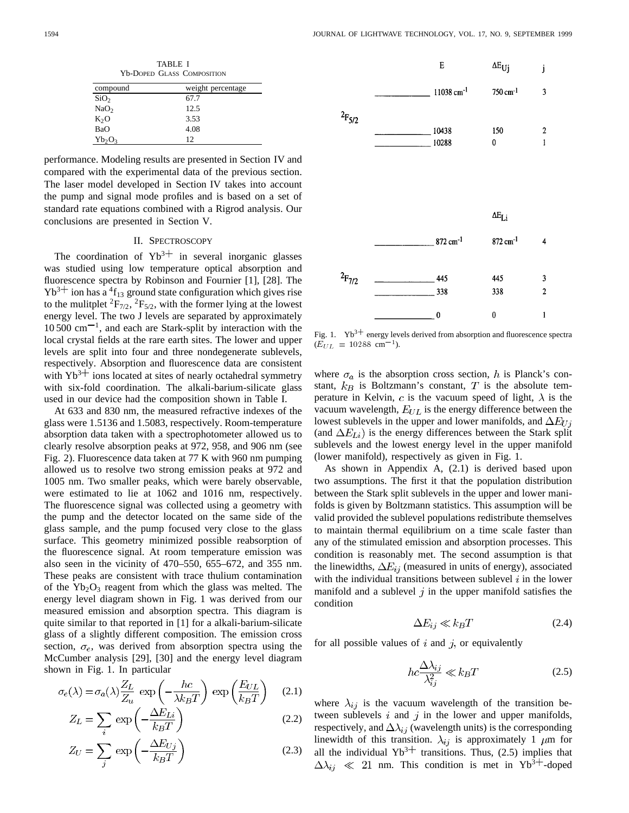TABLE I Yb-DOPED GLASS COMPOSITION compound weight percentage  $SiO<sub>2</sub>$  67.7  $NaO<sub>2</sub>$  12.5<br>  $K<sub>2</sub>O$  3.53  $K<sub>2</sub>O$ 

performance. Modeling results are presented in Section IV and compared with the experimental data of the previous section. The laser model developed in Section IV takes into account the pump and signal mode profiles and is based on a set of standard rate equations combined with a Rigrod analysis. Our conclusions are presented in Section V.

BaO 4.08  $Yb_2O_3$  12

## II. SPECTROSCOPY

The coordination of  $Yb^{3+}$  in several inorganic glasses was studied using low temperature optical absorption and fluorescence spectra by Robinson and Fournier [1], [28]. The  $Yb^{3+}$  ion has a <sup>4</sup>f<sub>13</sub> ground state configuration which gives rise to the mulitplet  ${}^{2}F_{7/2}$ ,  ${}^{2}F_{5/2}$ , with the former lying at the lowest energy level. The two J levels are separated by approximately  $10\,500\,$  cm<sup> $-1$ </sup>, and each are Stark-split by interaction with the local crystal fields at the rare earth sites. The lower and upper levels are split into four and three nondegenerate sublevels, respectively. Absorption and fluorescence data are consistent with  $Yb^{3+}$  ions located at sites of nearly octahedral symmetry with six-fold coordination. The alkali-barium-silicate glass used in our device had the composition shown in Table I.

At 633 and 830 nm, the measured refractive indexes of the glass were 1.5136 and 1.5083, respectively. Room-temperature absorption data taken with a spectrophotometer allowed us to clearly resolve absorption peaks at 972, 958, and 906 nm (see Fig. 2). Fluorescence data taken at 77 K with 960 nm pumping allowed us to resolve two strong emission peaks at 972 and 1005 nm. Two smaller peaks, which were barely observable, were estimated to lie at 1062 and 1016 nm, respectively. The fluorescence signal was collected using a geometry with the pump and the detector located on the same side of the glass sample, and the pump focused very close to the glass surface. This geometry minimized possible reabsorption of the fluorescence signal. At room temperature emission was also seen in the vicinity of 470–550, 655–672, and 355 nm. These peaks are consistent with trace thulium contamination of the  $Yb_2O_3$  reagent from which the glass was melted. The energy level diagram shown in Fig. 1 was derived from our measured emission and absorption spectra. This diagram is quite similar to that reported in [1] for a alkali-barium-silicate glass of a slightly different composition. The emission cross section,  $\sigma_e$ , was derived from absorption spectra using the McCumber analysis [29], [30] and the energy level diagram shown in Fig. 1. In particular

$$
\sigma_e(\lambda) = \sigma_a(\lambda) \frac{Z_L}{Z_u} \exp\left(-\frac{hc}{\lambda k_B T}\right) \exp\left(\frac{E_{UL}}{k_B T}\right) \quad (2.1)
$$

$$
Z_L = \sum_i \exp\left(-\frac{\Delta E_{Li}}{k_B T}\right) \tag{2.2}
$$

$$
Z_U = \sum_j \exp\left(-\frac{\Delta E_{Uj}}{k_B T}\right) \tag{2.3}
$$



Fig. 1.  $Yb^{3+}$  energy levels derived from absorption and fluorescence spectra Fig. 1.  $Yb^{3+}$  energy lev<br>( $E_{UL} = 10288$  cm<sup>-1</sup>).

where  $\sigma_a$  is the absorption cross section, h is Planck's constant,  $k_B$  is Boltzmann's constant, T is the absolute temperature in Kelvin, c is the vacuum speed of light,  $\lambda$  is the vacuum wavelength,  $E_{UL}$  is the energy difference between the lowest sublevels in the upper and lower manifolds, and  $\Delta E_{U,i}$ (and  $\Delta E_{Li}$ ) is the energy differences between the Stark split sublevels and the lowest energy level in the upper manifold (lower manifold), respectively as given in Fig. 1.

As shown in Appendix A, (2.1) is derived based upon two assumptions. The first it that the population distribution between the Stark split sublevels in the upper and lower manifolds is given by Boltzmann statistics. This assumption will be valid provided the sublevel populations redistribute themselves to maintain thermal equilibrium on a time scale faster than any of the stimulated emission and absorption processes. This condition is reasonably met. The second assumption is that the linewidths,  $\Delta E_{ij}$  (measured in units of energy), associated with the individual transitions between sublevel  $i$  in the lower manifold and a sublevel  $j$  in the upper manifold satisfies the condition

$$
\Delta E_{ij} \ll k_B T \tag{2.4}
$$

for all possible values of  $i$  and  $j$ , or equivalently

$$
hc\frac{\Delta\lambda_{ij}}{\lambda_{ij}^2} \ll k_B T\tag{2.5}
$$

where  $\lambda_{ij}$  is the vacuum wavelength of the transition between sublevels  $i$  and  $j$  in the lower and upper manifolds, respectively, and  $\Delta \lambda_{ij}$  (wavelength units) is the corresponding linewidth of this transition.  $\lambda_{ij}$  is approximately 1  $\mu$ m for all the individual  $Yb^{3+}$  transitions. Thus, (2.5) implies that  $\Delta \lambda_{ij} \ll 21$  nm. This condition is met in Yb<sup>3+</sup>-doped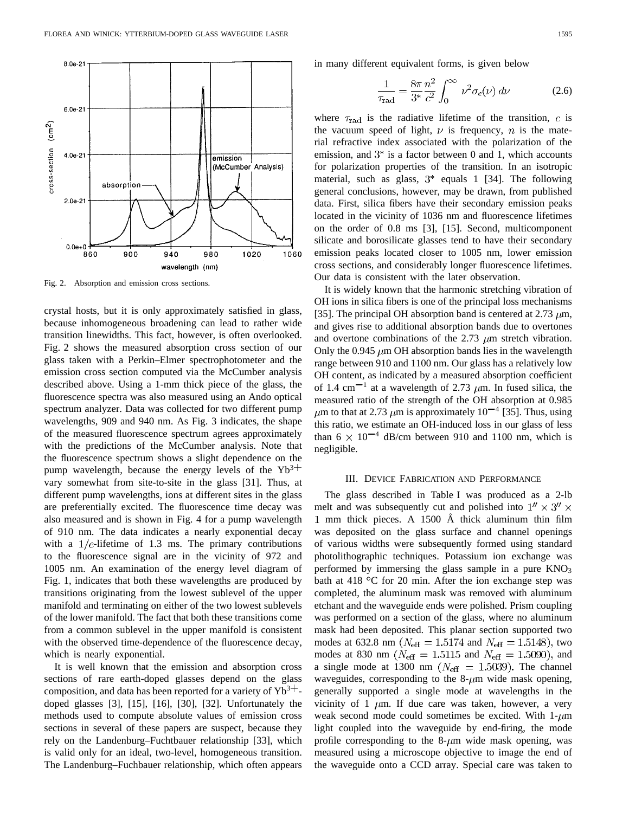

Fig. 2. Absorption and emission cross sections.

crystal hosts, but it is only approximately satisfied in glass, because inhomogeneous broadening can lead to rather wide transition linewidths. This fact, however, is often overlooked. Fig. 2 shows the measured absorption cross section of our glass taken with a Perkin–Elmer spectrophotometer and the emission cross section computed via the McCumber analysis described above. Using a 1-mm thick piece of the glass, the fluorescence spectra was also measured using an Ando optical spectrum analyzer. Data was collected for two different pump wavelengths, 909 and 940 nm. As Fig. 3 indicates, the shape of the measured fluorescence spectrum agrees approximately with the predictions of the McCumber analysis. Note that the fluorescence spectrum shows a slight dependence on the pump wavelength, because the energy levels of the  $Yb^{3+}$ vary somewhat from site-to-site in the glass [31]. Thus, at different pump wavelengths, ions at different sites in the glass are preferentially excited. The fluorescence time decay was also measured and is shown in Fig. 4 for a pump wavelength of 910 nm. The data indicates a nearly exponential decay with a  $1/e$ -lifetime of 1.3 ms. The primary contributions to the fluorescence signal are in the vicinity of 972 and 1005 nm. An examination of the energy level diagram of Fig. 1, indicates that both these wavelengths are produced by transitions originating from the lowest sublevel of the upper manifold and terminating on either of the two lowest sublevels of the lower manifold. The fact that both these transitions come from a common sublevel in the upper manifold is consistent with the observed time-dependence of the fluorescence decay, which is nearly exponential.

It is well known that the emission and absorption cross sections of rare earth-doped glasses depend on the glass composition, and data has been reported for a variety of  $Yb^{3+}$ . doped glasses [3], [15], [16], [30], [32]. Unfortunately the methods used to compute absolute values of emission cross sections in several of these papers are suspect, because they rely on the Landenburg–Fuchtbauer relationship [33], which is valid only for an ideal, two-level, homogeneous transition. The Landenburg–Fuchbauer relationship, which often appears in many different equivalent forms, is given below

$$
\frac{1}{\tau_{\text{rad}}} = \frac{8\pi}{3^*} \frac{n^2}{c^2} \int_0^\infty \nu^2 \sigma_e(\nu) \, d\nu \tag{2.6}
$$

where  $\tau_{\text{rad}}$  is the radiative lifetime of the transition, c is the vacuum speed of light,  $\nu$  is frequency, n is the material refractive index associated with the polarization of the emission, and  $3^*$  is a factor between 0 and 1, which accounts for polarization properties of the transition. In an isotropic material, such as glass,  $3^*$  equals 1 [34]. The following general conclusions, however, may be drawn, from published data. First, silica fibers have their secondary emission peaks located in the vicinity of 1036 nm and fluorescence lifetimes on the order of 0.8 ms [3], [15]. Second, multicomponent silicate and borosilicate glasses tend to have their secondary emission peaks located closer to 1005 nm, lower emission cross sections, and considerably longer fluorescence lifetimes. Our data is consistent with the later observation.

It is widely known that the harmonic stretching vibration of OH ions in silica fibers is one of the principal loss mechanisms [35]. The principal OH absorption band is centered at 2.73  $\mu$ m, and gives rise to additional absorption bands due to overtones and overtone combinations of the 2.73  $\mu$ m stretch vibration. Only the 0.945  $\mu$ m OH absorption bands lies in the wavelength range between 910 and 1100 nm. Our glass has a relatively low OH content, as indicated by a measured absorption coefficient of 1.4 cm<sup>-1</sup> at a wavelength of 2.73  $\mu$ m. In fused silica, the measured ratio of the strength of the OH absorption at 0.985  $\mu$ m to that at 2.73  $\mu$ m is approximately 10<sup>-4</sup> [35]. Thus, using this ratio, we estimate an OH-induced loss in our glass of less than 6  $\times$  10<sup>-4</sup> dB/cm between 910 and 1100 nm, which is negligible.

#### III. DEVICE FABRICATION AND PERFORMANCE

The glass described in Table I was produced as a 2-lb melt and was subsequently cut and polished into  $1'' \times 3'' \times$ 1 mm thick pieces. A  $1500$  Å thick aluminum thin film was deposited on the glass surface and channel openings of various widths were subsequently formed using standard photolithographic techniques. Potassium ion exchange was performed by immersing the glass sample in a pure  $KNO<sub>3</sub>$ bath at 418  $\degree$ C for 20 min. After the ion exchange step was completed, the aluminum mask was removed with aluminum etchant and the waveguide ends were polished. Prism coupling was performed on a section of the glass, where no aluminum mask had been deposited. This planar section supported two modes at 632.8 nm ( $N_{\text{eff}} = 1.5174$  and  $N_{\text{eff}} = 1.5148$ ), two modes at 830 nm ( $N_{\text{eff}} = 1.5115$  and  $N_{\text{eff}} = 1.5090$ ), and a single mode at 1300 nm ( $N_{\text{eff}} = 1.5039$ ). The channel waveguides, corresponding to the  $8-\mu m$  wide mask opening, generally supported a single mode at wavelengths in the vicinity of 1  $\mu$ m. If due care was taken, however, a very weak second mode could sometimes be excited. With  $1-\mu m$ light coupled into the waveguide by end-firing, the mode profile corresponding to the  $8-\mu m$  wide mask opening, was measured using a microscope objective to image the end of the waveguide onto a CCD array. Special care was taken to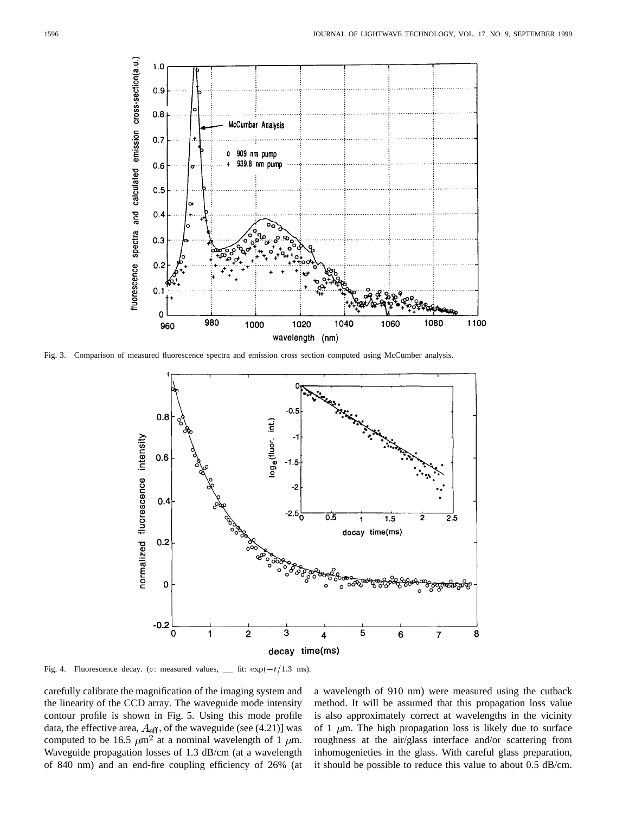

Fig. 3. Comparison of measured fluorescence spectra and emission cross section computed using McCumber analysis.



Fig. 4. Fluorescence decay. (o: measured values,  $\quad$  fit:  $\exp(-t/1.3 \text{ ms})$ .

carefully calibrate the magnification of the imaging system and the linearity of the CCD array. The waveguide mode intensity contour profile is shown in Fig. 5. Using this mode profile data, the effective area,  $A_{\text{eff}}$ , of the waveguide (see (4.21)] was computed to be 16.5  $\mu$ m<sup>2</sup> at a nominal wavelength of 1  $\mu$ m. Waveguide propagation losses of 1.3 dB/cm (at a wavelength of 840 nm) and an end-fire coupling efficiency of 26% (at a wavelength of 910 nm) were measured using the cutback method. It will be assumed that this propagation loss value is also approximately correct at wavelengths in the vicinity of 1  $\mu$ m. The high propagation loss is likely due to surface roughness at the air/glass interface and/or scattering from inhomogenieties in the glass. With careful glass preparation, it should be possible to reduce this value to about 0.5 dB/cm.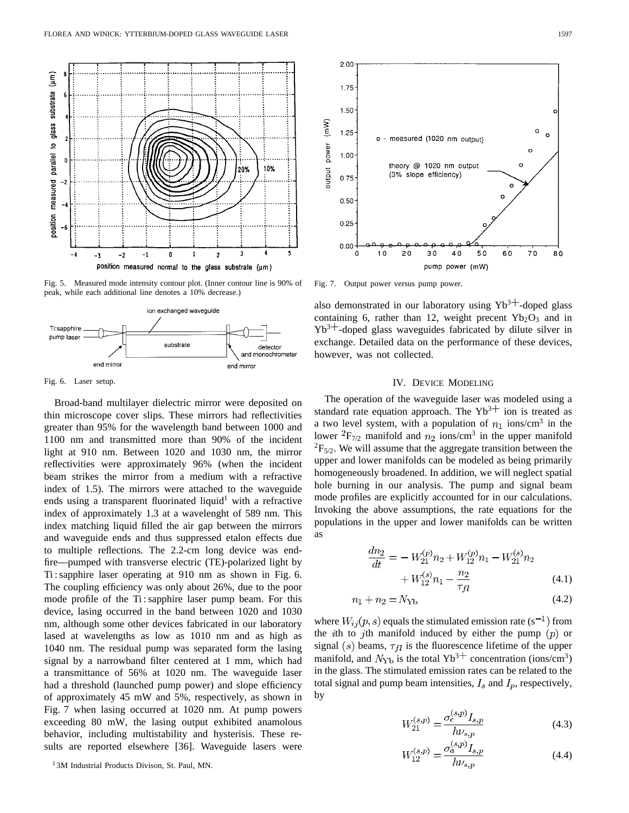

Fig. 5. Measured mode intensity contour plot. (Inner contour line is 90% of peak, while each additional line denotes a 10% decrease.)



Fig. 6. Laser setup.

Broad-band multilayer dielectric mirror were deposited on thin microscope cover slips. These mirrors had reflectivities greater than 95% for the wavelength band between 1000 and 1100 nm and transmitted more than 90% of the incident light at 910 nm. Between 1020 and 1030 nm, the mirror reflectivities were approximately 96% (when the incident beam strikes the mirror from a medium with a refractive index of 1.5). The mirrors were attached to the waveguide ends using a transparent fluorinated liquid<sup>1</sup> with a refractive index of approximately 1.3 at a wavelenght of 589 nm. This index matching liquid filled the air gap between the mirrors and waveguide ends and thus suppressed etalon effects due to multiple reflections. The 2.2-cm long device was endfire—pumped with transverse electric (TE)-polarized light by Ti : sapphire laser operating at 910 nm as shown in Fig. 6. The coupling efficiency was only about 26%, due to the poor mode profile of the Ti : sapphire laser pump beam. For this device, lasing occurred in the band between 1020 and 1030 nm, although some other devices fabricated in our laboratory lased at wavelengths as low as 1010 nm and as high as 1040 nm. The residual pump was separated form the lasing signal by a narrowband filter centered at 1 mm, which had a transmittance of 56% at 1020 nm. The waveguide laser had a threshold (launched pump power) and slope efficiency of approximately 45 mW and 5%, respectively, as shown in Fig. 7 when lasing occurred at 1020 nm. At pump powers exceeding 80 mW, the lasing output exhibited anamolous behavior, including multistability and hysterisis. These results are reported elsewhere [36]. Waveguide lasers were

<sup>1</sup> 3M Industrial Products Divison, St. Paul, MN.



Fig. 7. Output power versus pump power.

also demonstrated in our laboratory using  $Yb^{3+}$ -doped glass containing 6, rather than 12, weight precent  $Yb_2O_3$  and in  $Yb^{3+}$ -doped glass waveguides fabricated by dilute silver in exchange. Detailed data on the performance of these devices, however, was not collected.

## IV. DEVICE MODELING

The operation of the waveguide laser was modeled using a standard rate equation approach. The  $Yb^{3+}$  ion is treated as a two level system, with a population of  $n_1$  ions/cm<sup>3</sup> in the lower  ${}^{2}F_{7/2}$  manifold and  $n_2$  ions/cm<sup>3</sup> in the upper manifold  ${}^{2}F_{5/2}$ . We will assume that the aggregate transition between the upper and lower manifolds can be modeled as being primarily homogeneously broadened. In addition, we will neglect spatial hole burning in our analysis. The pump and signal beam mode profiles are explicitly accounted for in our calculations. Invoking the above assumptions, the rate equations for the populations in the upper and lower manifolds can be written as

$$
\frac{dn_2}{dt} = -W_{21}^{(p)}n_2 + W_{12}^{(p)}n_1 - W_{21}^{(s)}n_2
$$

$$
+ W_{12}^{(s)}n_1 - \frac{n_2}{\tau_{fl}} \tag{4.1}
$$

$$
n_1 + n_2 = N_{\text{Yb}} \tag{4.2}
$$

where  $W_{ij}(p, s)$  equals the stimulated emission rate (s<sup>-1</sup>) from the *i*th to *j*th manifold induced by either the pump  $(p)$  or signal (s) beams,  $\tau_{fl}$  is the fluorescence lifetime of the upper manifold, and  $N_{\text{Yb}}$  is the total Yb<sup>3+</sup> concentration (ions/cm<sup>3</sup>) in the glass. The stimulated emission rates can be related to the total signal and pump beam intensities,  $I_s$  and  $I_p$ , respectively, by

$$
W_{21}^{(s,p)} = \frac{\sigma_e^{(s,p)} I_{s,p}}{h\nu_{s,p}}
$$
(4.3)

$$
W_{12}^{(s,p)} = \frac{\sigma_a^{(s,p)} I_{s,p}}{h\nu_{s,p}}
$$
(4.4)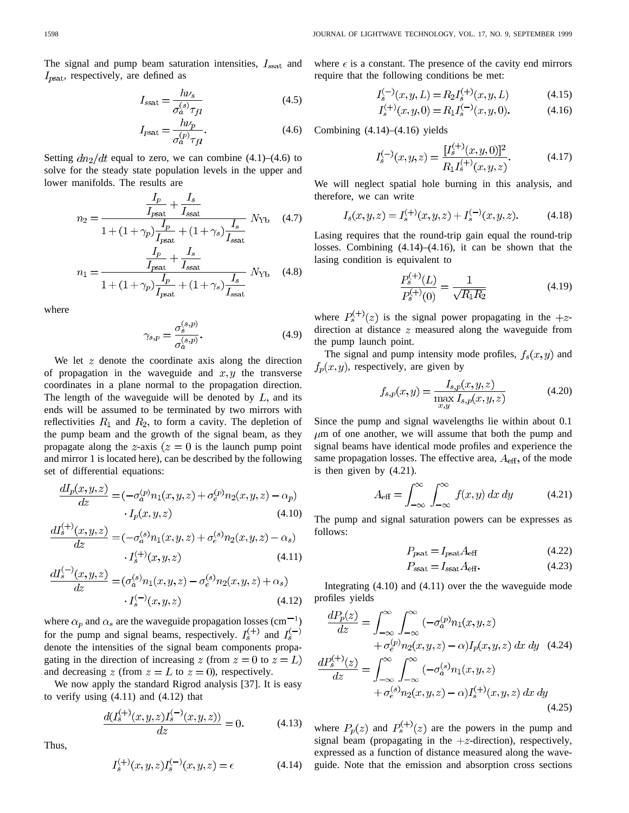The signal and pump beam saturation intensities,  $I_{\text{ssat}}$  and  $I_{\text{past}}$ , respectively, are defined as

$$
I_{\text{ssat}} = \frac{h\nu_s}{\sigma_a^{(s)} \tau_{fl}} \tag{4.5}
$$

$$
I_{\text{psat}} = \frac{h\nu_p}{\sigma_a^{(p)} \tau_{fl}}.\tag{4.6}
$$

Setting  $dn_2/dt$  equal to zero, we can combine (4.1)–(4.6) to solve for the steady state population levels in the upper and lower manifolds. The results are

$$
n_2 = \frac{\frac{I_p}{I_{\text{psat}}} + \frac{I_s}{I_{\text{ssat}}}}{1 + (1 + \gamma_p)\frac{I_p}{I} + (1 + \gamma_s)\frac{I_s}{I}} N_{\text{Yb}} \quad (4.7)
$$

$$
n_1 = \frac{\frac{I_p}{I_{\text{psat}}} + \frac{I_s}{I_{\text{ssat}}}}{1 + (1 + \gamma_p)\frac{I_p}{I_{\text{psat}}} + (1 + \gamma_s)\frac{I_s}{I_{\text{ssat}}}} N_{\text{Yb}} \quad (4.8)
$$

where

$$
\gamma_{s,p} = \frac{\sigma_s^{(s,p)}}{\sigma_a^{(s,p)}}.\tag{4.9}
$$

We let  $z$  denote the coordinate axis along the direction of propagation in the waveguide and  $x, y$  the transverse coordinates in a plane normal to the propagation direction. The length of the waveguide will be denoted by  $L$ , and its ends will be assumed to be terminated by two mirrors with reflectivities  $R_1$  and  $R_2$ , to form a cavity. The depletion of the pump beam and the growth of the signal beam, as they propagate along the z-axis  $(z = 0$  is the launch pump point and mirror 1 is located here), can be described by the following set of differential equations:

$$
\frac{dI_p(x,y,z)}{dz} = (-\sigma_a^{(p)} n_1(x,y,z) + \sigma_e^{(p)} n_2(x,y,z) - \alpha_p)
$$
  
 
$$
\cdot I_p(x,y,z) \tag{4.10}
$$

$$
\frac{dI_s^{(+)}(x,y,z)}{dz} = (-\sigma_a^{(s)} n_1(x,y,z) + \sigma_e^{(s)} n_2(x,y,z) - \alpha_s)
$$
  
 
$$
\cdot I_s^{(+)}(x,y,z) \tag{4.11}
$$

$$
\frac{dI_s^{(-)}(x,y,z)}{dz} = (\sigma_a^{(s)} n_1(x,y,z) - \sigma_e^{(s)} n_2(x,y,z) + \alpha_s)
$$
  
 
$$
\cdot I_s^{(-)}(x,y,z) \tag{4.12}
$$

where  $\alpha_p$  and  $\alpha_s$  are the waveguide propagation losses (cm<sup>-1</sup>) for the pump and signal beams, respectively.  $I_s^{(+)}$  and  $I_s^{(-)}$ denote the intensities of the signal beam components propagating in the direction of increasing z (from  $z = 0$  to  $z = L$ ) and decreasing  $z$  (from  $z = L$  to  $z = 0$ ), respectively.

We now apply the standard Rigrod analysis [37]. It is easy to verify using  $(4.11)$  and  $(4.12)$  that

$$
\frac{d(I_s^{(+)}(x,y,z)I_s^{(-)}(x,y,z))}{dz} = 0.
$$
\n(4.13)

Thus,

$$
I_s^{(+)}(x, y, z)I_s^{(-)}(x, y, z) = \epsilon
$$
\n(4.14)

where  $\epsilon$  is a constant. The presence of the cavity end mirrors require that the following conditions be met:

$$
I_s^{(-)}(x, y, L) = R_2 I_s^{(+)}(x, y, L)
$$
\n(4.15)

$$
I_s^{(+)}(x, y, 0) = R_1 I_s^{(-)}(x, y, 0).
$$
 (4.16)

Combining  $(4.14)$ – $(4.16)$  yields

$$
I_s^{(-)}(x,y,z) = \frac{[I_s^{(+)}(x,y,0)]^2}{R_1 I_s^{(+)}(x,y,z)}.
$$
\n(4.17)

We will neglect spatial hole burning in this analysis, and therefore, we can write

$$
I_s(x, y, z) = I_s^{(+)}(x, y, z) + I_s^{(-)}(x, y, z).
$$
 (4.18)

Lasing requires that the round-trip gain equal the round-trip losses. Combining (4.14)–(4.16), it can be shown that the lasing condition is equivalent to

$$
\frac{P_s^{(+)}(L)}{P_s^{(+)}(0)} = \frac{1}{\sqrt{R_1 R_2}}\tag{4.19}
$$

where  $P_s^{(+)}(z)$  is the signal power propagating in the  $+z$ direction at distance  $z$  measured along the waveguide from the pump launch point.

The signal and pump intensity mode profiles,  $f_s(x, y)$  and  $f_p(x, y)$ , respectively, are given by

$$
f_{s,p}(x,y) = \frac{I_{s,p}(x,y,z)}{\max_{x,y} I_{s,p}(x,y,z)}
$$
(4.20)

Since the pump and signal wavelengths lie within about 0.1  $\mu$ m of one another, we will assume that both the pump and signal beams have identical mode profiles and experience the same propagation losses. The effective area,  $A_{\text{eff}}$ , of the mode is then given by (4.21).

$$
A_{\text{eff}} = \int_{-\infty}^{\infty} \int_{-\infty}^{\infty} f(x, y) \, dx \, dy \tag{4.21}
$$

The pump and signal saturation powers can be expresses as follows:

$$
P_{\text{past}} = I_{\text{past}} A_{\text{eff}} \tag{4.22}
$$

$$
P_{\text{ssat}} = I_{\text{ssat}} A_{\text{eff}}.\tag{4.23}
$$

Integrating (4.10) and (4.11) over the the waveguide mode profiles yields

$$
\frac{dP_p(z)}{dz} = \int_{-\infty}^{\infty} \int_{-\infty}^{\infty} (-\sigma_a^{(p)} n_1(x, y, z) + \sigma_e^{(p)} n_2(x, y, z) - \alpha) I_p(x, y, z) dx dy \quad (4.24)
$$

$$
\frac{dP_s^{(+)}(z)}{dz} = \int_{-\infty}^{\infty} \int_{-\infty}^{\infty} (-\sigma_a^{(s)} n_1(x, y, z) + \sigma_e^{(s)} n_2(x, y, z) - \alpha) I_s^{(+)}(x, y, z) dx dy \tag{4.25}
$$

where  $P_p(z)$  and  $P_s^{(+)}(z)$  are the powers in the pump and signal beam (propagating in the  $+z$ -direction), respectively, expressed as a function of distance measured along the waveguide. Note that the emission and absorption cross sections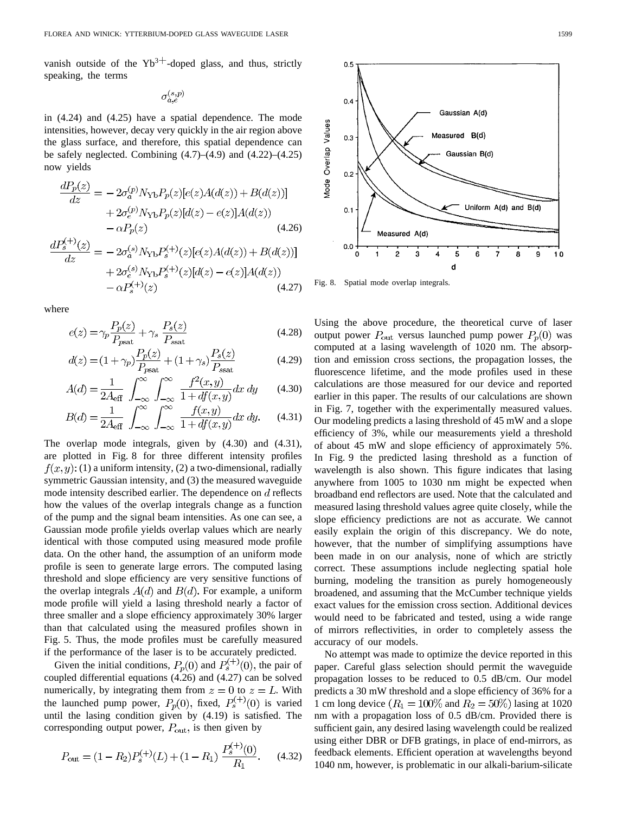vanish outside of the  $Yb^{3+}$ -doped glass, and thus, strictly speaking, the terms

$$
\sigma_{a,e}^{(s,p)}
$$

in (4.24) and (4.25) have a spatial dependence. The mode intensities, however, decay very quickly in the air region above the glass surface, and therefore, this spatial dependence can be safely neglected. Combining  $(4.7)$ – $(4.9)$  and  $(4.22)$ – $(4.25)$ now yields

$$
\frac{dP_p(z)}{dz} = -2\sigma_a^{(p)} N_{\text{Yb}} P_p(z) [e(z)A(d(z)) + B(d(z))]
$$

$$
+ 2\sigma_e^{(p)} N_{\text{Yb}} P_p(z) [d(z) - e(z)]A(d(z))
$$

$$
- \alpha P_p(z)
$$
(4.26)

$$
\frac{dF_s^{(-)}(z)}{dz} = -2\sigma_a^{(s)} N_{\text{Yb}} P_s^{(+)}(z) [e(z)A(d(z)) + B(d(z))]
$$

$$
+ 2\sigma_e^{(s)} N_{\text{Yb}} P_s^{(+)}(z) [d(z) - e(z)]A(d(z))
$$

$$
- \alpha P_s^{(+)}(z) \tag{4.27}
$$

where

$$
e(z) = \gamma_p \frac{P_p(z)}{P_{\text{psat}}} + \gamma_s \frac{P_s(z)}{P_{\text{ssat}}}
$$
\n(4.28)

$$
d(z) = (1 + \gamma_p) \frac{P_p(z)}{P_{\text{past}}} + (1 + \gamma_s) \frac{P_s(z)}{P_{\text{ssat}}}
$$
(4.29)

$$
A(d) = \frac{1}{2A_{\text{eff}}} \int_{-\infty}^{\infty} \int_{-\infty}^{\infty} \frac{f^2(x, y)}{1 + df(x, y)} dx dy
$$
 (4.30)

$$
B(d) = \frac{1}{2A_{\text{eff}}} \int_{-\infty}^{\infty} \int_{-\infty}^{\infty} \frac{f(x, y)}{1 + df(x, y)} dx dy.
$$
 (4.31)

The overlap mode integrals, given by (4.30) and (4.31), are plotted in Fig. 8 for three different intensity profiles  $f(x, y)$ : (1) a uniform intensity, (2) a two-dimensional, radially symmetric Gaussian intensity, and (3) the measured waveguide mode intensity described earlier. The dependence on  $d$  reflects how the values of the overlap integrals change as a function of the pump and the signal beam intensities. As one can see, a Gaussian mode profile yields overlap values which are nearly identical with those computed using measured mode profile data. On the other hand, the assumption of an uniform mode profile is seen to generate large errors. The computed lasing threshold and slope efficiency are very sensitive functions of the overlap integrals  $A(d)$  and  $B(d)$ . For example, a uniform mode profile will yield a lasing threshold nearly a factor of three smaller and a slope efficiency approximately 30% larger than that calculated using the measured profiles shown in Fig. 5. Thus, the mode profiles must be carefully measured if the performance of the laser is to be accurately predicted.

Given the initial conditions,  $P_p(0)$  and  $P_s^{(+)}(0)$ , the pair of coupled differential equations (4.26) and (4.27) can be solved numerically, by integrating them from  $z = 0$  to  $z = L$ . With the launched pump power,  $P_p(0)$ , fixed,  $P_s^{(+)}(0)$  is varied until the lasing condition given by (4.19) is satisfied. The corresponding output power,  $P_{\text{out}}$ , is then given by

$$
P_{\text{out}} = (1 - R_2)P_s^{(+)}(L) + (1 - R_1) \frac{P_s^{(+)}(0)}{R_1}.
$$
 (4.32)



Fig. 8. Spatial mode overlap integrals.

Using the above procedure, the theoretical curve of laser output power  $P_{\text{out}}$  versus launched pump power  $P_p(0)$  was computed at a lasing wavelength of 1020 nm. The absorption and emission cross sections, the propagation losses, the fluorescence lifetime, and the mode profiles used in these calculations are those measured for our device and reported earlier in this paper. The results of our calculations are shown in Fig. 7, together with the experimentally measured values. Our modeling predicts a lasing threshold of 45 mW and a slope efficiency of 3%, while our measurements yield a threshold of about 45 mW and slope efficiency of approximately 5%. In Fig. 9 the predicted lasing threshold as a function of wavelength is also shown. This figure indicates that lasing anywhere from 1005 to 1030 nm might be expected when broadband end reflectors are used. Note that the calculated and measured lasing threshold values agree quite closely, while the slope efficiency predictions are not as accurate. We cannot easily explain the origin of this discrepancy. We do note, however, that the number of simplifying assumptions have been made in on our analysis, none of which are strictly correct. These assumptions include neglecting spatial hole burning, modeling the transition as purely homogeneously broadened, and assuming that the McCumber technique yields exact values for the emission cross section. Additional devices would need to be fabricated and tested, using a wide range of mirrors reflectivities, in order to completely assess the accuracy of our models.

No attempt was made to optimize the device reported in this paper. Careful glass selection should permit the waveguide propagation losses to be reduced to 0.5 dB/cm. Our model predicts a 30 mW threshold and a slope efficiency of 36% for a 1 cm long device  $(R_1 = 100\%$  and  $R_2 = 50\%)$  lasing at 1020 nm with a propagation loss of 0.5 dB/cm. Provided there is sufficient gain, any desired lasing wavelength could be realized using either DBR or DFB gratings, in place of end-mirrors, as feedback elements. Efficient operation at wavelengths beyond 1040 nm, however, is problematic in our alkali-barium-silicate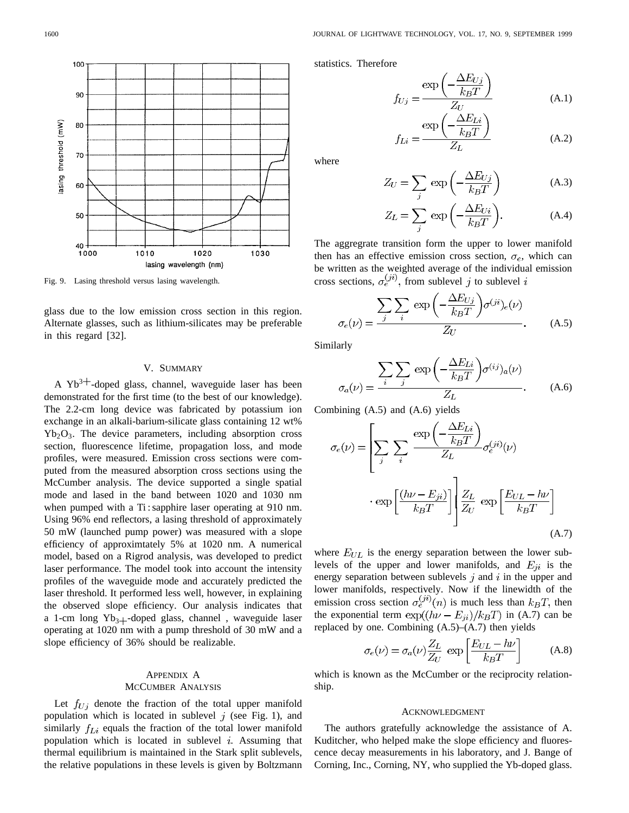

$$
f_{Uj} = \frac{\exp\left(-\frac{\Delta E_{Uj}}{k_B T}\right)}{Z_U} \tag{A.1}
$$

$$
f_{Li} = \frac{\exp\left(-\frac{\Delta E_{Li}}{k_B T}\right)}{Z_L} \tag{A.2}
$$

 $\Lambda$   $\overline{D}$ 

where

$$
Z_U = \sum_j \exp\left(-\frac{\Delta E_{Uj}}{k_B T}\right) \tag{A.3}
$$

$$
Z_L = \sum_j \exp\left(-\frac{\Delta E_{Ui}}{k_B T}\right). \tag{A.4}
$$

The aggregrate transition form the upper to lower manifold then has an effective emission cross section,  $\sigma_e$ , which can be written as the weighted average of the individual emission cross sections,  $\sigma_e^{(ji)}$ , from sublevel j to sublevel i

$$
\sigma_e(\nu) = \frac{\sum_{j} \sum_{i} \exp\left(-\frac{\Delta E_{Uj}}{k_B T}\right) \sigma^{(ji)}(i\nu)}{Z_U}.
$$
 (A.5)

Similarly

$$
\sigma_a(\nu) = \frac{\sum_{i} \sum_{j} \exp\left(-\frac{\Delta E_{Li}}{k_B T}\right) \sigma^{(ij)}(i\nu)}{Z_L}.
$$
 (A.6)

Combining (A.5) and (A.6) yields

$$
\sigma_e(\nu) = \left[ \sum_j \sum_i \frac{\exp\left(-\frac{\Delta E_{Li}}{k_B T}\right)}{Z_L} \sigma_e^{(ji)}(\nu) \right]
$$

$$
\cdot \exp\left[\frac{(h\nu - E_{ji})}{k_B T}\right] \frac{Z_L}{Z_U} \exp\left[\frac{E_{UL} - h\nu}{k_B T}\right]
$$
(A.7)

where  $E_{UL}$  is the energy separation between the lower sublevels of the upper and lower manifolds, and  $E_{ji}$  is the energy separation between sublevels  $j$  and  $i$  in the upper and lower manifolds, respectively. Now if the linewidth of the emission cross section  $\sigma_e^{(ji)}(n)$  is much less than  $k_B T$ , then the exponential term  $\exp((h\nu - E_{ji})/k_BT)$  in (A.7) can be replaced by one. Combining  $(A.5)$ – $(A.7)$  then yields

$$
\sigma_e(\nu) = \sigma_a(\nu) \frac{Z_L}{Z_U} \exp\left[\frac{E_{UL} - h\nu}{k_B T}\right]
$$
 (A.8)

which is known as the McCumber or the reciprocity relationship.

#### ACKNOWLEDGMENT

The authors gratefully acknowledge the assistance of A. Kuditcher, who helped make the slope efficiency and fluorescence decay measurements in his laboratory, and J. Bange of Corning, Inc., Corning, NY, who supplied the Yb-doped glass.

Fig. 9. Lasing threshold versus lasing wavelength.

glass due to the low emission cross section in this region. Alternate glasses, such as lithium-silicates may be preferable in this regard [32].

## V. SUMMARY

A  $Yb^{3+}$ -doped glass, channel, waveguide laser has been demonstrated for the first time (to the best of our knowledge). The 2.2-cm long device was fabricated by potassium ion exchange in an alkali-barium-silicate glass containing 12 wt%  $Yb<sub>2</sub>O<sub>3</sub>$ . The device parameters, including absorption cross section, fluorescence lifetime, propagation loss, and mode profiles, were measured. Emission cross sections were computed from the measured absorption cross sections using the McCumber analysis. The device supported a single spatial mode and lased in the band between 1020 and 1030 nm when pumped with a Ti : sapphire laser operating at 910 nm. Using 96% end reflectors, a lasing threshold of approximately 50 mW (launched pump power) was measured with a slope efficiency of approximtately 5% at 1020 nm. A numerical model, based on a Rigrod analysis, was developed to predict laser performance. The model took into account the intensity profiles of the waveguide mode and accurately predicted the laser threshold. It performed less well, however, in explaining the observed slope efficiency. Our analysis indicates that a 1-cm long  $Yb_{3+}$ -doped glass, channel , waveguide laser operating at 1020 nm with a pump threshold of 30 mW and a slope efficiency of 36% should be realizable.

# APPENDIX A MCCUMBER ANALYSIS

Let  $f_{U_i}$  denote the fraction of the total upper manifold population which is located in sublevel  $j$  (see Fig. 1), and similarly  $f_{Li}$  equals the fraction of the total lower manifold population which is located in sublevel  $i$ . Assuming that thermal equilibrium is maintained in the Stark split sublevels, the relative populations in these levels is given by Boltzmann